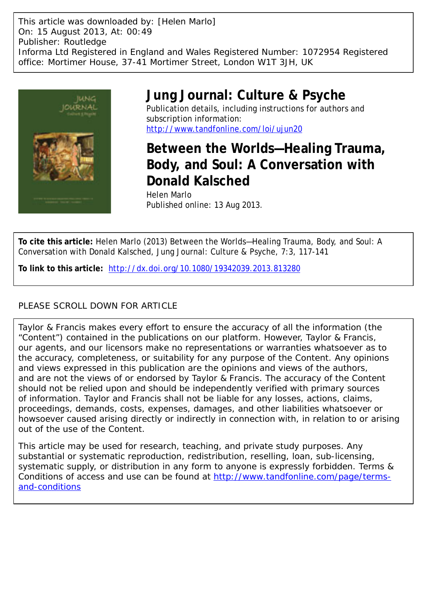This article was downloaded by: [Helen Marlo] On: 15 August 2013, At: 00:49 Publisher: Routledge Informa Ltd Registered in England and Wales Registered Number: 1072954 Registered office: Mortimer House, 37-41 Mortimer Street, London W1T 3JH, UK



# **Jung Journal: Culture & Psyche** Publication details, including instructions for authors and subscription information:

<http://www.tandfonline.com/loi/ujun20>

**Between the Worlds—Healing Trauma, Body, and Soul: A Conversation with Donald Kalsched** Helen Marlo Published online: 13 Aug 2013.

**To cite this article:** Helen Marlo (2013) Between the Worlds—Healing Trauma, Body, and Soul: A Conversation with Donald Kalsched, Jung Journal: Culture & Psyche, 7:3, 117-141

**To link to this article:** <http://dx.doi.org/10.1080/19342039.2013.813280>

# PLEASE SCROLL DOWN FOR ARTICLE

Taylor & Francis makes every effort to ensure the accuracy of all the information (the "Content") contained in the publications on our platform. However, Taylor & Francis, our agents, and our licensors make no representations or warranties whatsoever as to the accuracy, completeness, or suitability for any purpose of the Content. Any opinions and views expressed in this publication are the opinions and views of the authors, and are not the views of or endorsed by Taylor & Francis. The accuracy of the Content should not be relied upon and should be independently verified with primary sources of information. Taylor and Francis shall not be liable for any losses, actions, claims, proceedings, demands, costs, expenses, damages, and other liabilities whatsoever or howsoever caused arising directly or indirectly in connection with, in relation to or arising out of the use of the Content.

This article may be used for research, teaching, and private study purposes. Any substantial or systematic reproduction, redistribution, reselling, loan, sub-licensing, systematic supply, or distribution in any form to anyone is expressly forbidden. Terms & Conditions of access and use can be found at [http://www.tandfonline.com/page/terms](http://www.tandfonline.com/page/terms-and-conditions)[and-conditions](http://www.tandfonline.com/page/terms-and-conditions)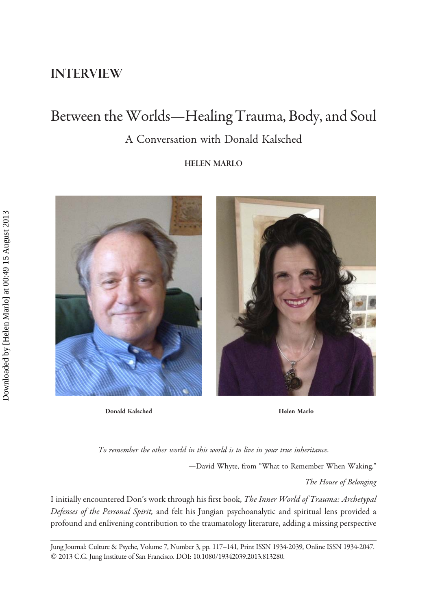# INTERVIEW

# Between the Worlds—Healing Trauma, Body, and Soul

# A Conversation with Donald Kalsched

HELEN MARLO



Donald Kalsched Helen Marlo



To remember the other world in this world is to live in your true inheritance.

—David Whyte, from "What to Remember When Waking,"

The House of Belonging

I initially encountered Don's work through his first book, The Inner World of Trauma: Archetypal Defenses of the Personal Spirit, and felt his Jungian psychoanalytic and spiritual lens provided a profound and enlivening contribution to the traumatology literature, adding a missing perspective

Jung Journal: Culture & Psyche, Volume 7, Number 3, pp. 117–141, Print ISSN 1934-2039, Online ISSN 1934-2047. *q* 2013 C.G. Jung Institute of San Francisco. DOI: 10.1080/19342039.2013.813280.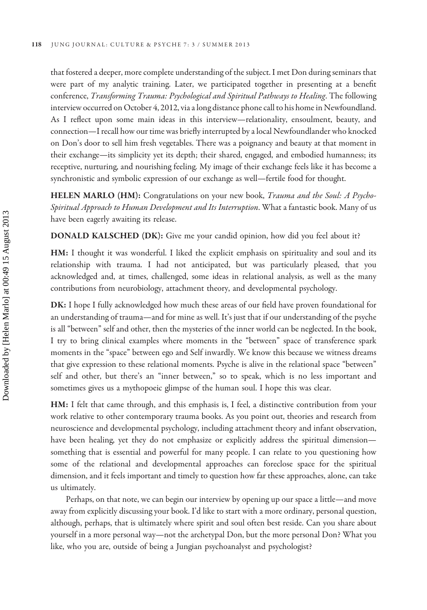that fostered a deeper, more complete understanding of the subject. I met Don during seminars that were part of my analytic training. Later, we participated together in presenting at a benefit conference, Transforming Trauma: Psychological and Spiritual Pathways to Healing. The following interview occurred on October 4, 2012, via a long distance phone call to his home in Newfoundland. As I reflect upon some main ideas in this interview—relationality, ensoulment, beauty, and connection—I recall how our time was briefly interrupted by a local Newfoundlander who knocked on Don's door to sell him fresh vegetables. There was a poignancy and beauty at that moment in their exchange—its simplicity yet its depth; their shared, engaged, and embodied humanness; its receptive, nurturing, and nourishing feeling. My image of their exchange feels like it has become a synchronistic and symbolic expression of our exchange as well—fertile food for thought.

HELEN MARLO (HM): Congratulations on your new book, *Trauma and the Soul: A Psycho-*Spiritual Approach to Human Development and Its Interruption. What a fantastic book. Many of us have been eagerly awaiting its release.

DONALD KALSCHED (DK): Give me your candid opinion, how did you feel about it?

HM: I thought it was wonderful. I liked the explicit emphasis on spirituality and soul and its relationship with trauma. I had not anticipated, but was particularly pleased, that you acknowledged and, at times, challenged, some ideas in relational analysis, as well as the many contributions from neurobiology, attachment theory, and developmental psychology.

DK: I hope I fully acknowledged how much these areas of our field have proven foundational for an understanding of trauma—and for mine as well. It's just that if our understanding of the psyche is all "between" self and other, then the mysteries of the inner world can be neglected. In the book, I try to bring clinical examples where moments in the "between" space of transference spark moments in the "space" between ego and Self inwardly. We know this because we witness dreams that give expression to these relational moments. Psyche is alive in the relational space "between" self and other, but there's an "inner between," so to speak, which is no less important and sometimes gives us a mythopoeic glimpse of the human soul. I hope this was clear.

HM: I felt that came through, and this emphasis is, I feel, a distinctive contribution from your work relative to other contemporary trauma books. As you point out, theories and research from neuroscience and developmental psychology, including attachment theory and infant observation, have been healing, yet they do not emphasize or explicitly address the spiritual dimension something that is essential and powerful for many people. I can relate to you questioning how some of the relational and developmental approaches can foreclose space for the spiritual dimension, and it feels important and timely to question how far these approaches, alone, can take us ultimately.

Perhaps, on that note, we can begin our interview by opening up our space a little—and move away from explicitly discussing your book. I'd like to start with a more ordinary, personal question, although, perhaps, that is ultimately where spirit and soul often best reside. Can you share about yourself in a more personal way—not the archetypal Don, but the more personal Don? What you like, who you are, outside of being a Jungian psychoanalyst and psychologist?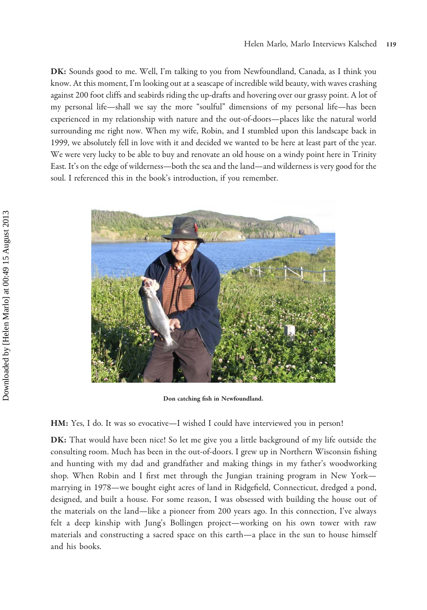DK: Sounds good to me. Well, I'm talking to you from Newfoundland, Canada, as I think you know. At this moment, I'm looking out at a seascape of incredible wild beauty, with waves crashing against 200 foot cliffs and seabirds riding the up-drafts and hovering over our grassy point. A lot of my personal life—shall we say the more "soulful" dimensions of my personal life—has been experienced in my relationship with nature and the out-of-doors—places like the natural world surrounding me right now. When my wife, Robin, and I stumbled upon this landscape back in 1999, we absolutely fell in love with it and decided we wanted to be here at least part of the year. We were very lucky to be able to buy and renovate an old house on a windy point here in Trinity East. It's on the edge of wilderness—both the sea and the land—and wilderness is very good for the soul. I referenced this in the book's introduction, if you remember.



Don catching fish in Newfoundland.

HM: Yes, I do. It was so evocative—I wished I could have interviewed you in person!

DK: That would have been nice! So let me give you a little background of my life outside the consulting room. Much has been in the out-of-doors. I grew up in Northern Wisconsin fishing and hunting with my dad and grandfather and making things in my father's woodworking shop. When Robin and I first met through the Jungian training program in New York marrying in 1978—we bought eight acres of land in Ridgefield, Connecticut, dredged a pond, designed, and built a house. For some reason, I was obsessed with building the house out of the materials on the land—like a pioneer from 200 years ago. In this connection, I've always felt a deep kinship with Jung's Bollingen project—working on his own tower with raw materials and constructing a sacred space on this earth—a place in the sun to house himself and his books.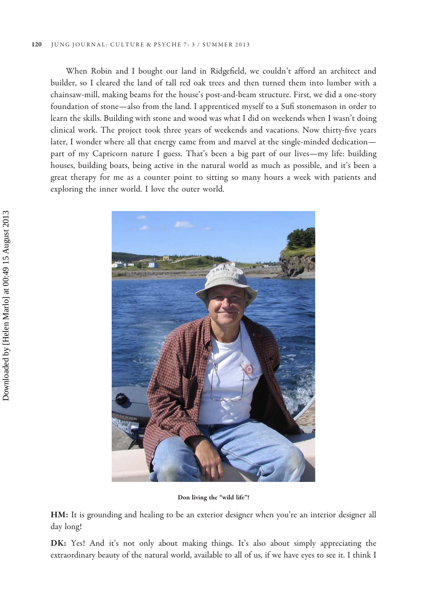When Robin and I bought our land in Ridgefield, we couldn't afford an architect and builder, so I cleared the land of tall red oak trees and then turned them into lumber with a chainsaw-mill, making beams for the house's post-and-beam structure. First, we did a one-story foundation of stone—also from the land. I apprenticed myself to a Sufi stonemason in order to learn the skills. Building with stone and wood was what I did on weekends when I wasn't doing clinical work. The project took three years of weekends and vacations. Now thirty-five years later, I wonder where all that energy came from and marvel at the single-minded dedication part of my Capricorn nature I guess. That's been a big part of our lives—my life: building houses, building boats, being active in the natural world as much as possible, and it's been a great therapy for me as a counter point to sitting so many hours a week with patients and exploring the inner world. I love the outer world.



Don living the "wild life"!

HM: It is grounding and healing to be an exterior designer when you're an interior designer all day long!

DK: Yes! And it's not only about making things. It's also about simply appreciating the extraordinary beauty of the natural world, available to all of us, if we have eyes to see it. I think I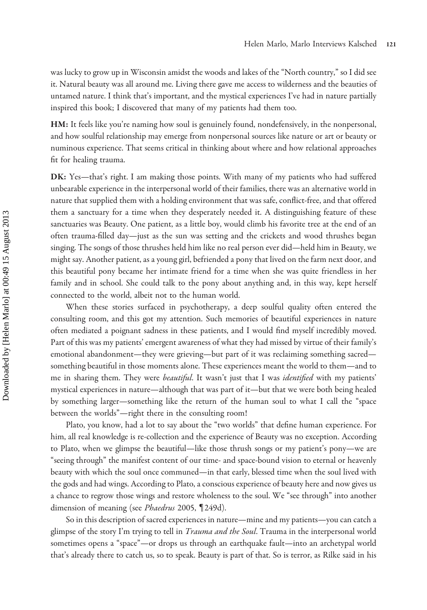was lucky to grow up in Wisconsin amidst the woods and lakes of the "North country," so I did see it. Natural beauty was all around me. Living there gave me access to wilderness and the beauties of untamed nature. I think that's important, and the mystical experiences I've had in nature partially inspired this book; I discovered that many of my patients had them too.

HM: It feels like you're naming how soul is genuinely found, nondefensively, in the nonpersonal, and how soulful relationship may emerge from nonpersonal sources like nature or art or beauty or numinous experience. That seems critical in thinking about where and how relational approaches fit for healing trauma.

DK: Yes—that's right. I am making those points. With many of my patients who had suffered unbearable experience in the interpersonal world of their families, there was an alternative world in nature that supplied them with a holding environment that was safe, conflict-free, and that offered them a sanctuary for a time when they desperately needed it. A distinguishing feature of these sanctuaries was Beauty. One patient, as a little boy, would climb his favorite tree at the end of an often trauma-filled day—just as the sun was setting and the crickets and wood thrushes began singing. The songs of those thrushes held him like no real person ever did—held him in Beauty, we might say. Another patient, as a young girl, befriended a pony that lived on the farm next door, and this beautiful pony became her intimate friend for a time when she was quite friendless in her family and in school. She could talk to the pony about anything and, in this way, kept herself connected to the world, albeit not to the human world.

When these stories surfaced in psychotherapy, a deep soulful quality often entered the consulting room, and this got my attention. Such memories of beautiful experiences in nature often mediated a poignant sadness in these patients, and I would find myself incredibly moved. Part of this was my patients' emergent awareness of what they had missed by virtue of their family's emotional abandonment—they were grieving—but part of it was reclaiming something sacred something beautiful in those moments alone. These experiences meant the world to them—and to me in sharing them. They were *beautiful*. It wasn't just that I was *identified* with my patients' mystical experiences in nature—although that was part of it—but that we were both being healed by something larger—something like the return of the human soul to what I call the "space between the worlds"—right there in the consulting room!

Plato, you know, had a lot to say about the "two worlds" that define human experience. For him, all real knowledge is re-collection and the experience of Beauty was no exception. According to Plato, when we glimpse the beautiful—like those thrush songs or my patient's pony—we are "seeing through" the manifest content of our time- and space-bound vision to eternal or heavenly beauty with which the soul once communed—in that early, blessed time when the soul lived with the gods and had wings. According to Plato, a conscious experience of beauty here and now gives us a chance to regrow those wings and restore wholeness to the soul. We "see through" into another dimension of meaning (see *Phaedrus* 2005, ¶249d).

So in this description of sacred experiences in nature—mine and my patients—you can catch a glimpse of the story I'm trying to tell in *Trauma and the Soul*. Trauma in the interpersonal world sometimes opens a "space"—or drops us through an earthquake fault—into an archetypal world that's already there to catch us, so to speak. Beauty is part of that. So is terror, as Rilke said in his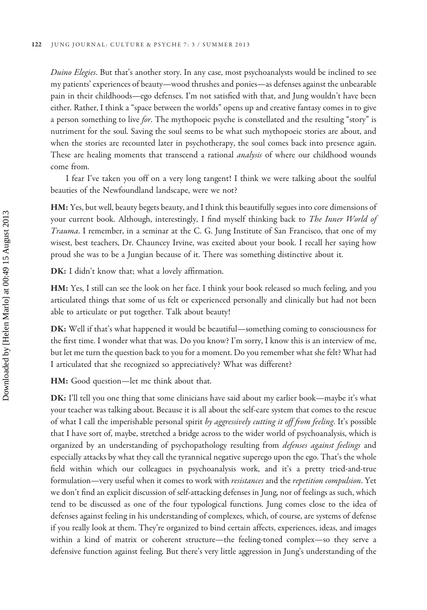Duino Elegies. But that's another story. In any case, most psychoanalysts would be inclined to see my patients' experiences of beauty—wood thrushes and ponies—as defenses against the unbearable pain in their childhoods—ego defenses. I'm not satisfied with that, and Jung wouldn't have been either. Rather, I think a "space between the worlds" opens up and creative fantasy comes in to give a person something to live for. The mythopoeic psyche is constellated and the resulting "story" is nutriment for the soul. Saving the soul seems to be what such mythopoeic stories are about, and when the stories are recounted later in psychotherapy, the soul comes back into presence again. These are healing moments that transcend a rational *analysis* of where our childhood wounds come from.

I fear I've taken you off on a very long tangent! I think we were talking about the soulful beauties of the Newfoundland landscape, were we not?

HM: Yes, but well, beauty begets beauty, and I think this beautifully segues into core dimensions of your current book. Although, interestingly, I find myself thinking back to The Inner World of Trauma. I remember, in a seminar at the C. G. Jung Institute of San Francisco, that one of my wisest, best teachers, Dr. Chauncey Irvine, was excited about your book. I recall her saying how proud she was to be a Jungian because of it. There was something distinctive about it.

DK: I didn't know that; what a lovely affirmation.

HM: Yes, I still can see the look on her face. I think your book released so much feeling, and you articulated things that some of us felt or experienced personally and clinically but had not been able to articulate or put together. Talk about beauty!

DK: Well if that's what happened it would be beautiful—something coming to consciousness for the first time. I wonder what that was. Do you know? I'm sorry, I know this is an interview of me, but let me turn the question back to you for a moment. Do you remember what she felt? What had I articulated that she recognized so appreciatively? What was different?

HM: Good question—let me think about that.

DK: I'll tell you one thing that some clinicians have said about my earlier book—maybe it's what your teacher was talking about. Because it is all about the self-care system that comes to the rescue of what I call the imperishable personal spirit by aggressively cutting it off from feeling. It's possible that I have sort of, maybe, stretched a bridge across to the wider world of psychoanalysis, which is organized by an understanding of psychopathology resulting from *defenses against feelings* and especially attacks by what they call the tyrannical negative superego upon the ego. That's the whole field within which our colleagues in psychoanalysis work, and it's a pretty tried-and-true formulation—very useful when it comes to work with *resistances* and the *repetition compulsion*. Yet we don't find an explicit discussion of self-attacking defenses in Jung, nor of feelings as such, which tend to be discussed as one of the four typological functions. Jung comes close to the idea of defenses against feeling in his understanding of complexes, which, of course, are systems of defense if you really look at them. They're organized to bind certain affects, experiences, ideas, and images within a kind of matrix or coherent structure—the feeling-toned complex—so they serve a defensive function against feeling. But there's very little aggression in Jung's understanding of the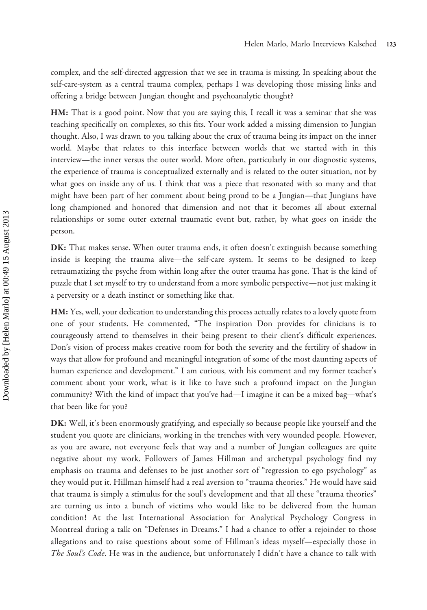complex, and the self-directed aggression that we see in trauma is missing. In speaking about the self-care-system as a central trauma complex, perhaps I was developing those missing links and offering a bridge between Jungian thought and psychoanalytic thought?

HM: That is a good point. Now that you are saying this, I recall it was a seminar that she was teaching specifically on complexes, so this fits. Your work added a missing dimension to Jungian thought. Also, I was drawn to you talking about the crux of trauma being its impact on the inner world. Maybe that relates to this interface between worlds that we started with in this interview—the inner versus the outer world. More often, particularly in our diagnostic systems, the experience of trauma is conceptualized externally and is related to the outer situation, not by what goes on inside any of us. I think that was a piece that resonated with so many and that might have been part of her comment about being proud to be a Jungian—that Jungians have long championed and honored that dimension and not that it becomes all about external relationships or some outer external traumatic event but, rather, by what goes on inside the person.

DK: That makes sense. When outer trauma ends, it often doesn't extinguish because something inside is keeping the trauma alive—the self-care system. It seems to be designed to keep retraumatizing the psyche from within long after the outer trauma has gone. That is the kind of puzzle that I set myself to try to understand from a more symbolic perspective—not just making it a perversity or a death instinct or something like that.

HM: Yes, well, your dedication to understanding this process actually relates to a lovely quote from one of your students. He commented, "The inspiration Don provides for clinicians is to courageously attend to themselves in their being present to their client's difficult experiences. Don's vision of process makes creative room for both the severity and the fertility of shadow in ways that allow for profound and meaningful integration of some of the most daunting aspects of human experience and development." I am curious, with his comment and my former teacher's comment about your work, what is it like to have such a profound impact on the Jungian community? With the kind of impact that you've had—I imagine it can be a mixed bag—what's that been like for you?

DK: Well, it's been enormously gratifying, and especially so because people like yourself and the student you quote are clinicians, working in the trenches with very wounded people. However, as you are aware, not everyone feels that way and a number of Jungian colleagues are quite negative about my work. Followers of James Hillman and archetypal psychology find my emphasis on trauma and defenses to be just another sort of "regression to ego psychology" as they would put it. Hillman himself had a real aversion to "trauma theories." He would have said that trauma is simply a stimulus for the soul's development and that all these "trauma theories" are turning us into a bunch of victims who would like to be delivered from the human condition! At the last International Association for Analytical Psychology Congress in Montreal during a talk on "Defenses in Dreams." I had a chance to offer a rejoinder to those allegations and to raise questions about some of Hillman's ideas myself—especially those in The Soul*'*s Code. He was in the audience, but unfortunately I didn't have a chance to talk with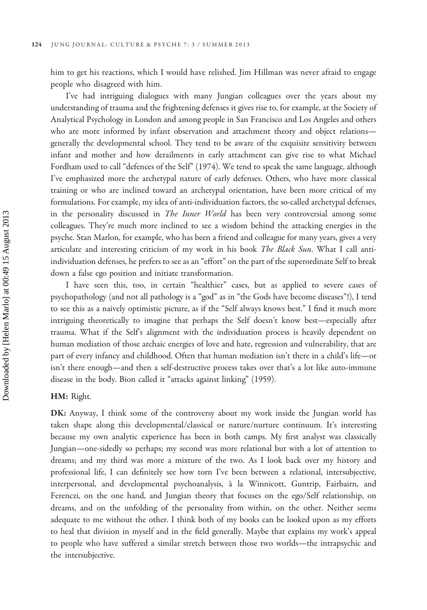him to get his reactions, which I would have relished. Jim Hillman was never afraid to engage people who disagreed with him.

I've had intriguing dialogues with many Jungian colleagues over the years about my understanding of trauma and the frightening defenses it gives rise to, for example, at the Society of Analytical Psychology in London and among people in San Francisco and Los Angeles and others who are more informed by infant observation and attachment theory and object relations generally the developmental school. They tend to be aware of the exquisite sensitivity between infant and mother and how derailments in early attachment can give rise to what Michael Fordham used to call "defences of the Self" (1974). We tend to speak the same language, although I've emphasized more the archetypal nature of early defenses. Others, who have more classical training or who are inclined toward an archetypal orientation, have been more critical of my formulations. For example, my idea of anti-individuation factors, the so-called archetypal defenses, in the personality discussed in The Inner World has been very controversial among some colleagues. They're much more inclined to see a wisdom behind the attacking energies in the psyche. Stan Marlon, for example, who has been a friend and colleague for many years, gives a very articulate and interesting criticism of my work in his book The Black Sun. What I call antiindividuation defenses, he prefers to see as an "effort" on the part of the superordinate Self to break down a false ego position and initiate transformation.

I have seen this, too, in certain "healthier" cases, but as applied to severe cases of psychopathology (and not all pathology is a "god" as in "the Gods have become diseases"!), I tend to see this as a naively optimistic picture, as if the "Self always knows best." I find it much more intriguing theoretically to imagine that perhaps the Self doesn't know best—especially after trauma. What if the Self's alignment with the individuation process is heavily dependent on human mediation of those archaic energies of love and hate, regression and vulnerability, that are part of every infancy and childhood. Often that human mediation isn't there in a child's life—or isn't there enough—and then a self-destructive process takes over that's a lot like auto-immune disease in the body. Bion called it "attacks against linking" (1959).

## HM: Right.

DK: Anyway, I think some of the controversy about my work inside the Jungian world has taken shape along this developmental/classical or nature/nurture continuum. It's interesting because my own analytic experience has been in both camps. My first analyst was classically Jungian—one-sidedly so perhaps; my second was more relational but with a lot of attention to dreams; and my third was more a mixture of the two. As I look back over my history and professional life, I can definitely see how torn I've been between a relational, intersubjective, interpersonal, and developmental psychoanalysis, a la Winnicott, Guntrip, Fairbairn, and Ferenczi, on the one hand, and Jungian theory that focuses on the ego/Self relationship, on dreams, and on the unfolding of the personality from within, on the other. Neither seems adequate to me without the other. I think both of my books can be looked upon as my efforts to heal that division in myself and in the field generally. Maybe that explains my work's appeal to people who have suffered a similar stretch between those two worlds—the intrapsychic and the intersubjective.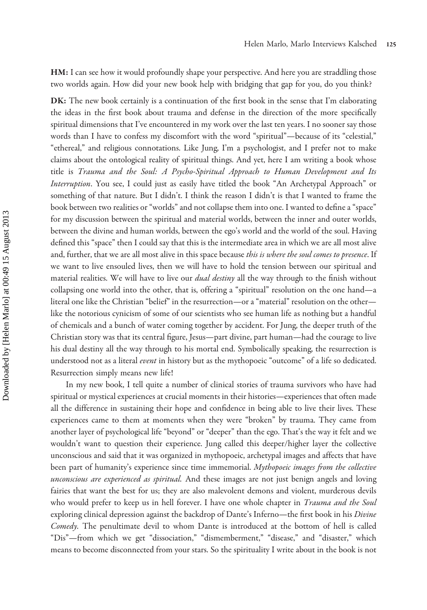HM: I can see how it would profoundly shape your perspective. And here you are straddling those two worlds again. How did your new book help with bridging that gap for you, do you think?

DK: The new book certainly is a continuation of the first book in the sense that I'm elaborating the ideas in the first book about trauma and defense in the direction of the more specifically spiritual dimensions that I've encountered in my work over the last ten years. I no sooner say those words than I have to confess my discomfort with the word "spiritual"—because of its "celestial," "ethereal," and religious connotations. Like Jung, I'm a psychologist, and I prefer not to make claims about the ontological reality of spiritual things. And yet, here I am writing a book whose title is Trauma and the Soul: A Psycho-Spiritual Approach to Human Development and Its Interruption. You see, I could just as easily have titled the book "An Archetypal Approach" or something of that nature. But I didn't. I think the reason I didn't is that I wanted to frame the book between two realities or "worlds" and not collapse them into one. I wanted to define a "space" for my discussion between the spiritual and material worlds, between the inner and outer worlds, between the divine and human worlds, between the ego's world and the world of the soul. Having defined this "space" then I could say that this is the intermediate area in which we are all most alive and, further, that we are all most alive in this space because this is where the soul comes to presence. If we want to live ensouled lives, then we will have to hold the tension between our spiritual and material realities. We will have to live our *dual destiny* all the way through to the finish without collapsing one world into the other, that is, offering a "spiritual" resolution on the one hand—a literal one like the Christian "belief" in the resurrection—or a "material" resolution on the other like the notorious cynicism of some of our scientists who see human life as nothing but a handful of chemicals and a bunch of water coming together by accident. For Jung, the deeper truth of the Christian story was that its central figure, Jesus—part divine, part human—had the courage to live his dual destiny all the way through to his mortal end. Symbolically speaking, the resurrection is understood not as a literal *event* in history but as the mythopoeic "outcome" of a life so dedicated. Resurrection simply means new life!

In my new book, I tell quite a number of clinical stories of trauma survivors who have had spiritual or mystical experiences at crucial moments in their histories—experiences that often made all the difference in sustaining their hope and confidence in being able to live their lives. These experiences came to them at moments when they were "broken" by trauma. They came from another layer of psychological life "beyond" or "deeper" than the ego. That's the way it felt and we wouldn't want to question their experience. Jung called this deeper/higher layer the collective unconscious and said that it was organized in mythopoeic, archetypal images and affects that have been part of humanity's experience since time immemorial. Mythopoeic images from the collective unconscious are experienced as spiritual. And these images are not just benign angels and loving fairies that want the best for us; they are also malevolent demons and violent, murderous devils who would prefer to keep us in hell forever. I have one whole chapter in *Trauma and the Soul* exploring clinical depression against the backdrop of Dante's Inferno—the first book in his Divine Comedy. The penultimate devil to whom Dante is introduced at the bottom of hell is called "Dis"—from which we get "dissociation," "dismemberment," "disease," and "disaster," which means to become disconnected from your stars. So the spirituality I write about in the book is not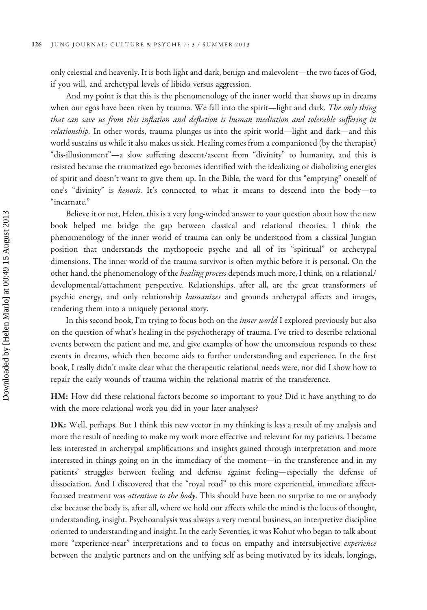only celestial and heavenly. It is both light and dark, benign and malevolent—the two faces of God, if you will, and archetypal levels of libido versus aggression.

And my point is that this is the phenomenology of the inner world that shows up in dreams when our egos have been riven by trauma. We fall into the spirit—light and dark. The only thing that can save us from this inflation and deflation is human mediation and tolerable suffering in relationship. In other words, trauma plunges us into the spirit world—light and dark—and this world sustains us while it also makes us sick. Healing comes from a companioned (by the therapist) "dis-illusionment"—a slow suffering descent/ascent from "divinity" to humanity, and this is resisted because the traumatized ego becomes identified with the idealizing or diabolizing energies of spirit and doesn't want to give them up. In the Bible, the word for this "emptying" oneself of one's "divinity" is kenosis. It's connected to what it means to descend into the body-to "incarnate."

Believe it or not, Helen, this is a very long-winded answer to your question about how the new book helped me bridge the gap between classical and relational theories. I think the phenomenology of the inner world of trauma can only be understood from a classical Jungian position that understands the mythopoeic psyche and all of its "spiritual" or archetypal dimensions. The inner world of the trauma survivor is often mythic before it is personal. On the other hand, the phenomenology of the *healing process* depends much more, I think, on a relational/ developmental/attachment perspective. Relationships, after all, are the great transformers of psychic energy, and only relationship humanizes and grounds archetypal affects and images, rendering them into a uniquely personal story.

In this second book, I'm trying to focus both on the *inner world* I explored previously but also on the question of what's healing in the psychotherapy of trauma. I've tried to describe relational events between the patient and me, and give examples of how the unconscious responds to these events in dreams, which then become aids to further understanding and experience. In the first book, I really didn't make clear what the therapeutic relational needs were, nor did I show how to repair the early wounds of trauma within the relational matrix of the transference.

HM: How did these relational factors become so important to you? Did it have anything to do with the more relational work you did in your later analyses?

DK: Well, perhaps. But I think this new vector in my thinking is less a result of my analysis and more the result of needing to make my work more effective and relevant for my patients. I became less interested in archetypal amplifications and insights gained through interpretation and more interested in things going on in the immediacy of the moment—in the transference and in my patients' struggles between feeling and defense against feeling—especially the defense of dissociation. And I discovered that the "royal road" to this more experiential, immediate affectfocused treatment was *attention to the body*. This should have been no surprise to me or anybody else because the body is, after all, where we hold our affects while the mind is the locus of thought, understanding, insight. Psychoanalysis was always a very mental business, an interpretive discipline oriented to understanding and insight. In the early Seventies, it was Kohut who began to talk about more "experience-near" interpretations and to focus on empathy and intersubjective experience between the analytic partners and on the unifying self as being motivated by its ideals, longings,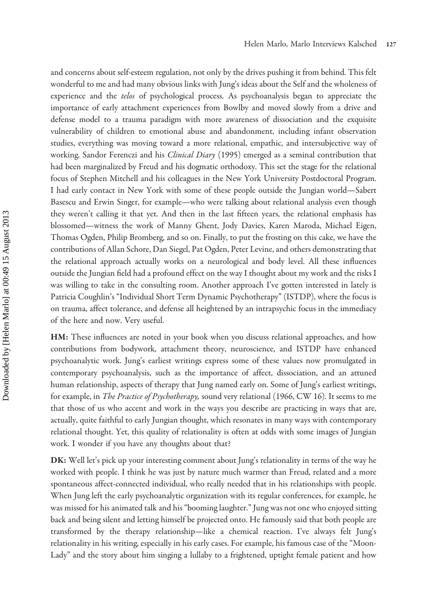and concerns about self-esteem regulation, not only by the drives pushing it from behind. This felt wonderful to me and had many obvious links with Jung's ideas about the Self and the wholeness of experience and the telos of psychological process. As psychoanalysis began to appreciate the importance of early attachment experiences from Bowlby and moved slowly from a drive and defense model to a trauma paradigm with more awareness of dissociation and the exquisite vulnerability of children to emotional abuse and abandonment, including infant observation studies, everything was moving toward a more relational, empathic, and intersubjective way of working. Sandor Ferenczi and his Clinical Diary (1995) emerged as a seminal contribution that had been marginalized by Freud and his dogmatic orthodoxy. This set the stage for the relational focus of Stephen Mitchell and his colleagues in the New York University Postdoctoral Program. I had early contact in New York with some of these people outside the Jungian world—Sabert Basescu and Erwin Singer, for example—who were talking about relational analysis even though they weren't calling it that yet. And then in the last fifteen years, the relational emphasis has blossomed—witness the work of Manny Ghent, Jody Davies, Karen Maroda, Michael Eigen, Thomas Ogden, Philip Bromberg, and so on. Finally, to put the frosting on this cake, we have the contributions of Allan Schore, Dan Siegel, Pat Ogden, Peter Levine, and others demonstrating that the relational approach actually works on a neurological and body level. All these influences outside the Jungian field had a profound effect on the way I thought about my work and the risks I was willing to take in the consulting room. Another approach I've gotten interested in lately is Patricia Coughlin's "Individual Short Term Dynamic Psychotherapy" (ISTDP), where the focus is on trauma, affect tolerance, and defense all heightened by an intrapsychic focus in the immediacy of the here and now. Very useful.

HM: These influences are noted in your book when you discuss relational approaches, and how contributions from bodywork, attachment theory, neuroscience, and ISTDP have enhanced psychoanalytic work. Jung's earliest writings express some of these values now promulgated in contemporary psychoanalysis, such as the importance of affect, dissociation, and an attuned human relationship, aspects of therapy that Jung named early on. Some of Jung's earliest writings, for example, in *The Practice of Psychotherapy*, sound very relational (1966, CW 16). It seems to me that those of us who accent and work in the ways you describe are practicing in ways that are, actually, quite faithful to early Jungian thought, which resonates in many ways with contemporary relational thought. Yet, this quality of relationality is often at odds with some images of Jungian work. I wonder if you have any thoughts about that?

DK: Well let's pick up your interesting comment about Jung's relationality in terms of the way he worked with people. I think he was just by nature much warmer than Freud, related and a more spontaneous affect-connected individual, who really needed that in his relationships with people. When Jung left the early psychoanalytic organization with its regular conferences, for example, he was missed for his animated talk and his "booming laughter." Jung was not one who enjoyed sitting back and being silent and letting himself be projected onto. He famously said that both people are transformed by the therapy relationship—like a chemical reaction. I've always felt Jung's relationality in his writing, especially in his early cases. For example, his famous case of the "Moon-Lady" and the story about him singing a lullaby to a frightened, uptight female patient and how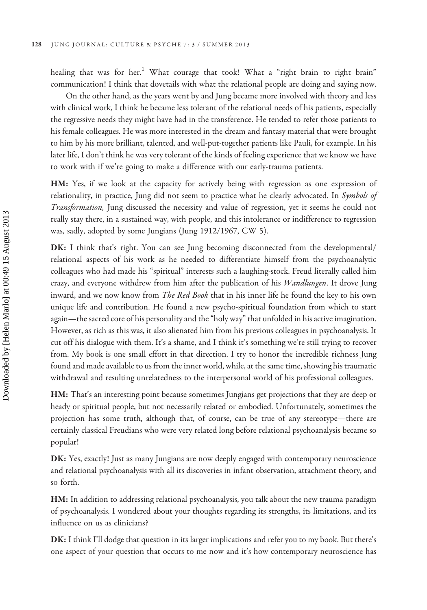healing that was for her.<sup>1</sup> What courage that took! What a "right brain to right brain" communication! I think that dovetails with what the relational people are doing and saying now.

On the other hand, as the years went by and Jung became more involved with theory and less with clinical work, I think he became less tolerant of the relational needs of his patients, especially the regressive needs they might have had in the transference. He tended to refer those patients to his female colleagues. He was more interested in the dream and fantasy material that were brought to him by his more brilliant, talented, and well-put-together patients like Pauli, for example. In his later life, I don't think he was very tolerant of the kinds of feeling experience that we know we have to work with if we're going to make a difference with our early-trauma patients.

HM: Yes, if we look at the capacity for actively being with regression as one expression of relationality, in practice, Jung did not seem to practice what he clearly advocated. In Symbols of Transformation, Jung discussed the necessity and value of regression, yet it seems he could not really stay there, in a sustained way, with people, and this intolerance or indifference to regression was, sadly, adopted by some Jungians (Jung 1912/1967, CW 5).

DK: I think that's right. You can see Jung becoming disconnected from the developmental/ relational aspects of his work as he needed to differentiate himself from the psychoanalytic colleagues who had made his "spiritual" interests such a laughing-stock. Freud literally called him crazy, and everyone withdrew from him after the publication of his *Wandlungen*. It drove Jung inward, and we now know from *The Red Book* that in his inner life he found the key to his own unique life and contribution. He found a new psycho-spiritual foundation from which to start again—the sacred core of his personality and the"holy way" that unfolded in his active imagination. However, as rich as this was, it also alienated him from his previous colleagues in psychoanalysis. It cut off his dialogue with them. It's a shame, and I think it's something we're still trying to recover from. My book is one small effort in that direction. I try to honor the incredible richness Jung found and made available to us from the inner world, while, at the same time, showing his traumatic withdrawal and resulting unrelatedness to the interpersonal world of his professional colleagues.

HM: That's an interesting point because sometimes Jungians get projections that they are deep or heady or spiritual people, but not necessarily related or embodied. Unfortunately, sometimes the projection has some truth, although that, of course, can be true of any stereotype—there are certainly classical Freudians who were very related long before relational psychoanalysis became so popular!

DK: Yes, exactly! Just as many Jungians are now deeply engaged with contemporary neuroscience and relational psychoanalysis with all its discoveries in infant observation, attachment theory, and so forth.

HM: In addition to addressing relational psychoanalysis, you talk about the new trauma paradigm of psychoanalysis. I wondered about your thoughts regarding its strengths, its limitations, and its influence on us as clinicians?

DK: I think I'll dodge that question in its larger implications and refer you to my book. But there's one aspect of your question that occurs to me now and it's how contemporary neuroscience has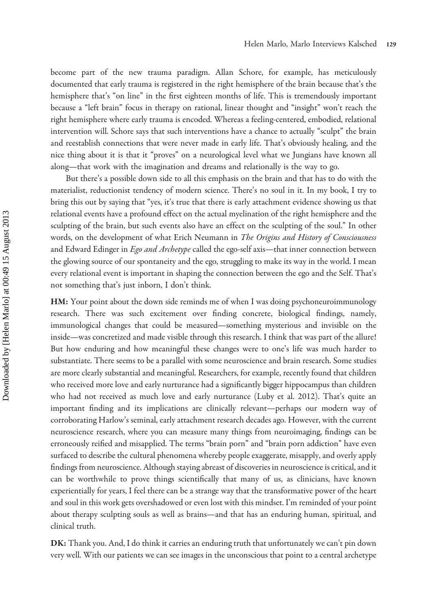become part of the new trauma paradigm. Allan Schore, for example, has meticulously documented that early trauma is registered in the right hemisphere of the brain because that's the hemisphere that's "on line" in the first eighteen months of life. This is tremendously important because a "left brain" focus in therapy on rational, linear thought and "insight" won't reach the right hemisphere where early trauma is encoded. Whereas a feeling-centered, embodied, relational intervention will. Schore says that such interventions have a chance to actually "sculpt" the brain and reestablish connections that were never made in early life. That's obviously healing, and the nice thing about it is that it "proves" on a neurological level what we Jungians have known all along—that work with the imagination and dreams and relationally is the way to go.

But there's a possible down side to all this emphasis on the brain and that has to do with the materialist, reductionist tendency of modern science. There's no soul in it. In my book, I try to bring this out by saying that "yes, it's true that there is early attachment evidence showing us that relational events have a profound effect on the actual myelination of the right hemisphere and the sculpting of the brain, but such events also have an effect on the sculpting of the soul." In other words, on the development of what Erich Neumann in The Origins and History of Consciousness and Edward Edinger in Ego and Archetype called the ego-self axis—that inner connection between the glowing source of our spontaneity and the ego, struggling to make its way in the world. I mean every relational event is important in shaping the connection between the ego and the Self. That's not something that's just inborn, I don't think.

HM: Your point about the down side reminds me of when I was doing psychoneuroimmunology research. There was such excitement over finding concrete, biological findings, namely, immunological changes that could be measured—something mysterious and invisible on the inside—was concretized and made visible through this research. I think that was part of the allure! But how enduring and how meaningful these changes were to one's life was much harder to substantiate. There seems to be a parallel with some neuroscience and brain research. Some studies are more clearly substantial and meaningful. Researchers, for example, recently found that children who received more love and early nurturance had a significantly bigger hippocampus than children who had not received as much love and early nurturance (Luby et al. 2012). That's quite an important finding and its implications are clinically relevant—perhaps our modern way of corroborating Harlow's seminal, early attachment research decades ago. However, with the current neuroscience research, where you can measure many things from neuroimaging, findings can be erroneously reified and misapplied. The terms "brain porn" and "brain porn addiction" have even surfaced to describe the cultural phenomena whereby people exaggerate, misapply, and overly apply findings from neuroscience. Although staying abreast of discoveries in neuroscience is critical, and it can be worthwhile to prove things scientifically that many of us, as clinicians, have known experientially for years, I feel there can be a strange way that the transformative power of the heart and soul in this work gets overshadowed or even lost with this mindset. I'm reminded of your point about therapy sculpting souls as well as brains—and that has an enduring human, spiritual, and clinical truth.

DK: Thank you. And, I do think it carries an enduring truth that unfortunately we can't pin down very well. With our patients we can see images in the unconscious that point to a central archetype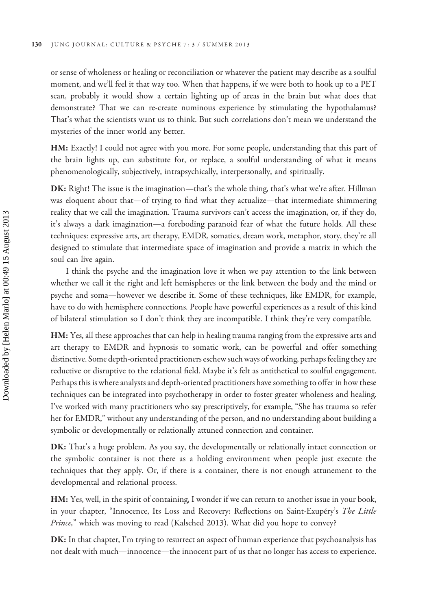or sense of wholeness or healing or reconciliation or whatever the patient may describe as a soulful moment, and we'll feel it that way too. When that happens, if we were both to hook up to a PET scan, probably it would show a certain lighting up of areas in the brain but what does that demonstrate? That we can re-create numinous experience by stimulating the hypothalamus? That's what the scientists want us to think. But such correlations don't mean we understand the mysteries of the inner world any better.

HM: Exactly! I could not agree with you more. For some people, understanding that this part of the brain lights up, can substitute for, or replace, a soulful understanding of what it means phenomenologically, subjectively, intrapsychically, interpersonally, and spiritually.

DK: Right! The issue is the imagination—that's the whole thing, that's what we're after. Hillman was eloquent about that—of trying to find what they actualize—that intermediate shimmering reality that we call the imagination. Trauma survivors can't access the imagination, or, if they do, it's always a dark imagination—a foreboding paranoid fear of what the future holds. All these techniques: expressive arts, art therapy, EMDR, somatics, dream work, metaphor, story, they're all designed to stimulate that intermediate space of imagination and provide a matrix in which the soul can live again.

I think the psyche and the imagination love it when we pay attention to the link between whether we call it the right and left hemispheres or the link between the body and the mind or psyche and soma—however we describe it. Some of these techniques, like EMDR, for example, have to do with hemisphere connections. People have powerful experiences as a result of this kind of bilateral stimulation so I don't think they are incompatible. I think they're very compatible.

HM: Yes, all these approaches that can help in healing trauma ranging from the expressive arts and art therapy to EMDR and hypnosis to somatic work, can be powerful and offer something distinctive. Some depth-oriented practitioners eschew such ways of working, perhaps feeling they are reductive or disruptive to the relational field. Maybe it's felt as antithetical to soulful engagement. Perhaps this is where analysts and depth-oriented practitioners have something to offer in how these techniques can be integrated into psychotherapy in order to foster greater wholeness and healing. I've worked with many practitioners who say prescriptively, for example, "She has trauma so refer her for EMDR," without any understanding of the person, and no understanding about building a symbolic or developmentally or relationally attuned connection and container.

DK: That's a huge problem. As you say, the developmentally or relationally intact connection or the symbolic container is not there as a holding environment when people just execute the techniques that they apply. Or, if there is a container, there is not enough attunement to the developmental and relational process.

HM: Yes, well, in the spirit of containing, I wonder if we can return to another issue in your book, in your chapter, "Innocence, Its Loss and Recovery: Reflections on Saint-Exupéry's The Little Prince," which was moving to read (Kalsched 2013). What did you hope to convey?

DK: In that chapter, I'm trying to resurrect an aspect of human experience that psychoanalysis has not dealt with much—innocence—the innocent part of us that no longer has access to experience.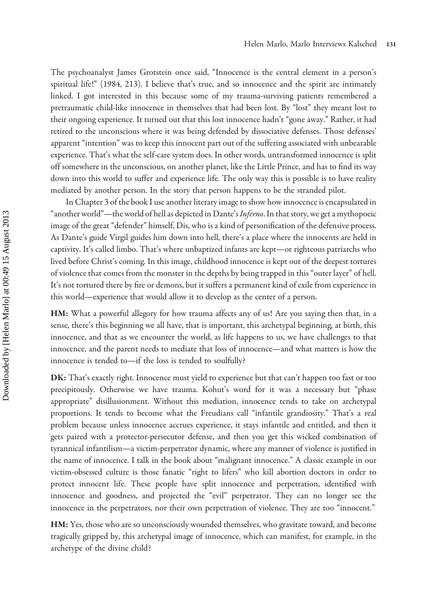The psychoanalyst James Grotstein once said, "Innocence is the central element in a person's spiritual life!" (1984, 213). I believe that's true, and so innocence and the spirit are intimately linked. I got interested in this because some of my trauma-surviving patients remembered a pretraumatic child-like innocence in themselves that had been lost. By "lost" they meant lost to their ongoing experience. It turned out that this lost innocence hadn't "gone away." Rather, it had retired to the unconscious where it was being defended by dissociative defenses. Those defenses' apparent "intention" was to keep this innocent part out of the suffering associated with unbearable experience. That's what the self-care system does. In other words, untransformed innocence is split off somewhere in the unconscious, on another planet, like the Little Prince, and has to find its way down into this world to suffer and experience life. The only way this is possible is to have reality mediated by another person. In the story that person happens to be the stranded pilot.

In Chapter 3 of the book I use another literary image to show how innocence is encapsulated in "another world"—the world of hell as depicted in Dante's Inferno. In that story, we get a mythopoeic image of the great "defender" himself, Dis, who is a kind of personification of the defensive process. As Dante's guide Virgil guides him down into hell, there's a place where the innocents are held in captivity. It's called limbo. That's where unbaptized infants are kept—or righteous patriarchs who lived before Christ's coming. In this image, childhood innocence is kept out of the deepest tortures of violence that comes from the monster in the depths by being trapped in this "outer layer" of hell. It's not tortured there by fire or demons, but it suffers a permanent kind of exile from experience in this world—experience that would allow it to develop as the center of a person.

HM: What a powerful allegory for how trauma affects any of us! Are you saying then that, in a sense, there's this beginning we all have, that is important, this archetypal beginning, at birth, this innocence, and that as we encounter the world, as life happens to us, we have challenges to that innocence, and the parent needs to mediate that loss of innocence—and what matters is how the innocence is tended to—if the loss is tended to soulfully?

DK: That's exactly right. Innocence must yield to experience but that can't happen too fast or too precipitously. Otherwise we have trauma. Kohut's word for it was a necessary but "phase appropriate" disillusionment. Without this mediation, innocence tends to take on archetypal proportions. It tends to become what the Freudians call "infantile grandiosity." That's a real problem because unless innocence accrues experience, it stays infantile and entitled, and then it gets paired with a protector-persecutor defense, and then you get this wicked combination of tyrannical infantilism—a victim-perpetrator dynamic, where any manner of violence is justified in the name of innocence. I talk in the book about "malignant innocence." A classic example in our victim-obsessed culture is those fanatic "right to lifers" who kill abortion doctors in order to protect innocent life. These people have split innocence and perpetration, identified with innocence and goodness, and projected the "evil" perpetrator. They can no longer see the innocence in the perpetrators, nor their own perpetration of violence. They are too "innocent."

HM: Yes, those who are so unconsciously wounded themselves, who gravitate toward, and become tragically gripped by, this archetypal image of innocence, which can manifest, for example, in the archetype of the divine child?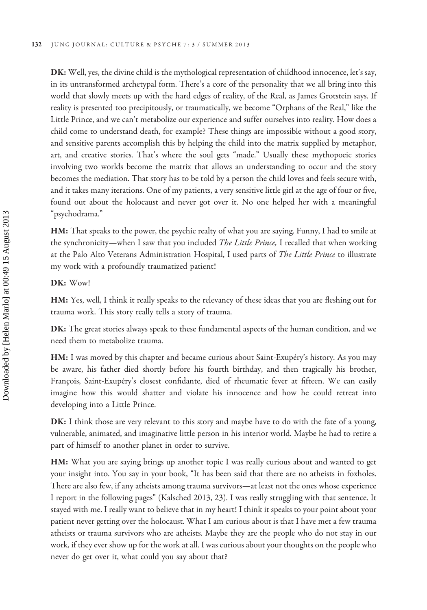DK: Well, yes, the divine child is the mythological representation of childhood innocence, let's say, in its untransformed archetypal form. There's a core of the personality that we all bring into this world that slowly meets up with the hard edges of reality, of the Real, as James Grotstein says. If reality is presented too precipitously, or traumatically, we become "Orphans of the Real," like the Little Prince, and we can't metabolize our experience and suffer ourselves into reality. How does a child come to understand death, for example? These things are impossible without a good story, and sensitive parents accomplish this by helping the child into the matrix supplied by metaphor, art, and creative stories. That's where the soul gets "made." Usually these mythopoeic stories involving two worlds become the matrix that allows an understanding to occur and the story becomes the mediation. That story has to be told by a person the child loves and feels secure with, and it takes many iterations. One of my patients, a very sensitive little girl at the age of four or five, found out about the holocaust and never got over it. No one helped her with a meaningful "psychodrama."

HM: That speaks to the power, the psychic realty of what you are saying. Funny, I had to smile at the synchronicity—when I saw that you included *The Little Prince*, I recalled that when working at the Palo Alto Veterans Administration Hospital, I used parts of The Little Prince to illustrate my work with a profoundly traumatized patient!

## DK: Wow!

HM: Yes, well, I think it really speaks to the relevancy of these ideas that you are fleshing out for trauma work. This story really tells a story of trauma.

DK: The great stories always speak to these fundamental aspects of the human condition, and we need them to metabolize trauma.

HM: I was moved by this chapter and became curious about Saint-Exupéry's history. As you may be aware, his father died shortly before his fourth birthday, and then tragically his brother, François, Saint-Exupéry's closest confidante, died of rheumatic fever at fifteen. We can easily imagine how this would shatter and violate his innocence and how he could retreat into developing into a Little Prince.

DK: I think those are very relevant to this story and maybe have to do with the fate of a young, vulnerable, animated, and imaginative little person in his interior world. Maybe he had to retire a part of himself to another planet in order to survive.

HM: What you are saying brings up another topic I was really curious about and wanted to get your insight into. You say in your book, "It has been said that there are no atheists in foxholes. There are also few, if any atheists among trauma survivors—at least not the ones whose experience I report in the following pages" (Kalsched 2013, 23). I was really struggling with that sentence. It stayed with me. I really want to believe that in my heart! I think it speaks to your point about your patient never getting over the holocaust. What I am curious about is that I have met a few trauma atheists or trauma survivors who are atheists. Maybe they are the people who do not stay in our work, if they ever show up for the work at all. I was curious about your thoughts on the people who never do get over it, what could you say about that?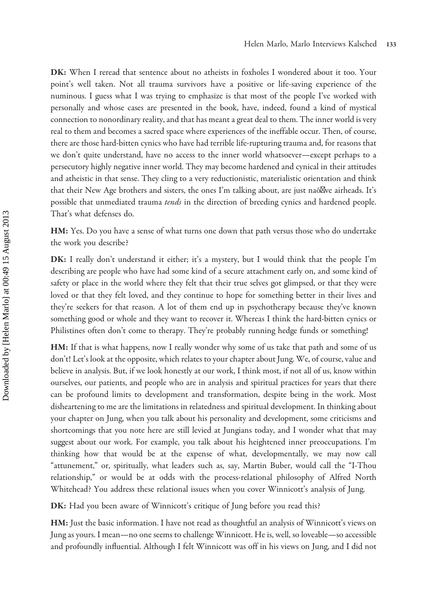DK: When I reread that sentence about no atheists in foxholes I wondered about it too. Your point's well taken. Not all trauma survivors have a positive or life-saving experience of the numinous. I guess what I was trying to emphasize is that most of the people I've worked with personally and whose cases are presented in the book, have, indeed, found a kind of mystical connection to nonordinary reality, and that has meant a great deal to them. The inner world is very real to them and becomes a sacred space where experiences of the ineffable occur. Then, of course, there are those hard-bitten cynics who have had terrible life-rupturing trauma and, for reasons that we don't quite understand, have no access to the inner world whatsoever—except perhaps to a persecutory highly negative inner world. They may become hardened and cynical in their attitudes and atheistic in that sense. They cling to a very reductionistic, materialistic orientation and think that their New Age brothers and sisters, the ones I'm talking about, are just naõ $\mathbb{Z}$ ve airheads. It's possible that unmediated trauma *tends* in the direction of breeding cynics and hardened people. That's what defenses do.

HM: Yes. Do you have a sense of what turns one down that path versus those who do undertake the work you describe?

DK: I really don't understand it either; it's a mystery, but I would think that the people I'm describing are people who have had some kind of a secure attachment early on, and some kind of safety or place in the world where they felt that their true selves got glimpsed, or that they were loved or that they felt loved, and they continue to hope for something better in their lives and they're seekers for that reason. A lot of them end up in psychotherapy because they've known something good or whole and they want to recover it. Whereas I think the hard-bitten cynics or Philistines often don't come to therapy. They're probably running hedge funds or something!

HM: If that is what happens, now I really wonder why some of us take that path and some of us don't! Let's look at the opposite, which relates to your chapter about Jung. We, of course, value and believe in analysis. But, if we look honestly at our work, I think most, if not all of us, know within ourselves, our patients, and people who are in analysis and spiritual practices for years that there can be profound limits to development and transformation, despite being in the work. Most disheartening to me are the limitations in relatedness and spiritual development. In thinking about your chapter on Jung, when you talk about his personality and development, some criticisms and shortcomings that you note here are still levied at Jungians today, and I wonder what that may suggest about our work. For example, you talk about his heightened inner preoccupations. I'm thinking how that would be at the expense of what, developmentally, we may now call "attunement," or, spiritually, what leaders such as, say, Martin Buber, would call the "I-Thou relationship," or would be at odds with the process-relational philosophy of Alfred North Whitehead? You address these relational issues when you cover Winnicott's analysis of Jung.

DK: Had you been aware of Winnicott's critique of Jung before you read this?

HM: Just the basic information. I have not read as thoughtful an analysis of Winnicott's views on Jung as yours. I mean—no one seems to challenge Winnicott. He is, well, so loveable—so accessible and profoundly influential. Although I felt Winnicott was off in his views on Jung, and I did not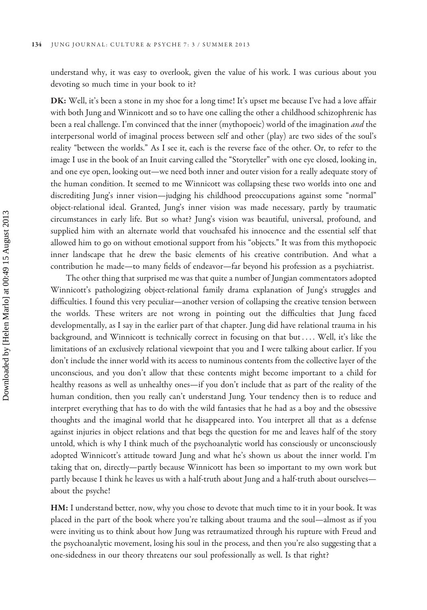understand why, it was easy to overlook, given the value of his work. I was curious about you devoting so much time in your book to it?

DK: Well, it's been a stone in my shoe for a long time! It's upset me because I've had a love affair with both Jung and Winnicott and so to have one calling the other a childhood schizophrenic has been a real challenge. I'm convinced that the inner (mythopoeic) world of the imagination *and* the interpersonal world of imaginal process between self and other (play) are two sides of the soul's reality "between the worlds." As I see it, each is the reverse face of the other. Or, to refer to the image I use in the book of an Inuit carving called the "Storyteller" with one eye closed, looking in, and one eye open, looking out—we need both inner and outer vision for a really adequate story of the human condition. It seemed to me Winnicott was collapsing these two worlds into one and discrediting Jung's inner vision—judging his childhood preoccupations against some "normal" object-relational ideal. Granted, Jung's inner vision was made necessary, partly by traumatic circumstances in early life. But so what? Jung's vision was beautiful, universal, profound, and supplied him with an alternate world that vouchsafed his innocence and the essential self that allowed him to go on without emotional support from his "objects." It was from this mythopoeic inner landscape that he drew the basic elements of his creative contribution. And what a contribution he made—to many fields of endeavor—far beyond his profession as a psychiatrist.

The other thing that surprised me was that quite a number of Jungian commentators adopted Winnicott's pathologizing object-relational family drama explanation of Jung's struggles and difficulties. I found this very peculiar—another version of collapsing the creative tension between the worlds. These writers are not wrong in pointing out the difficulties that Jung faced developmentally, as I say in the earlier part of that chapter. Jung did have relational trauma in his background, and Winnicott is technically correct in focusing on that but ... . Well, it's like the limitations of an exclusively relational viewpoint that you and I were talking about earlier. If you don't include the inner world with its access to numinous contents from the collective layer of the unconscious, and you don't allow that these contents might become important to a child for healthy reasons as well as unhealthy ones—if you don't include that as part of the reality of the human condition, then you really can't understand Jung. Your tendency then is to reduce and interpret everything that has to do with the wild fantasies that he had as a boy and the obsessive thoughts and the imaginal world that he disappeared into. You interpret all that as a defense against injuries in object relations and that begs the question for me and leaves half of the story untold, which is why I think much of the psychoanalytic world has consciously or unconsciously adopted Winnicott's attitude toward Jung and what he's shown us about the inner world. I'm taking that on, directly—partly because Winnicott has been so important to my own work but partly because I think he leaves us with a half-truth about Jung and a half-truth about ourselves about the psyche!

HM: I understand better, now, why you chose to devote that much time to it in your book. It was placed in the part of the book where you're talking about trauma and the soul—almost as if you were inviting us to think about how Jung was retraumatized through his rupture with Freud and the psychoanalytic movement, losing his soul in the process, and then you're also suggesting that a one-sidedness in our theory threatens our soul professionally as well. Is that right?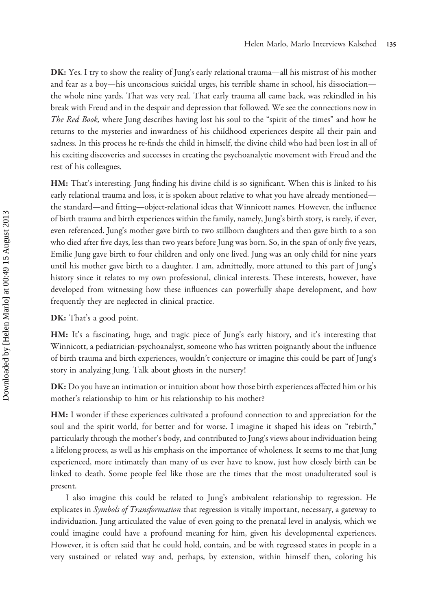DK: Yes. I try to show the reality of Jung's early relational trauma—all his mistrust of his mother and fear as a boy—his unconscious suicidal urges, his terrible shame in school, his dissociation the whole nine yards. That was very real. That early trauma all came back, was rekindled in his break with Freud and in the despair and depression that followed. We see the connections now in The Red Book, where Jung describes having lost his soul to the "spirit of the times" and how he returns to the mysteries and inwardness of his childhood experiences despite all their pain and sadness. In this process he re-finds the child in himself, the divine child who had been lost in all of his exciting discoveries and successes in creating the psychoanalytic movement with Freud and the rest of his colleagues.

HM: That's interesting. Jung finding his divine child is so significant. When this is linked to his early relational trauma and loss, it is spoken about relative to what you have already mentioned the standard—and fitting—object-relational ideas that Winnicott names. However, the influence of birth trauma and birth experiences within the family, namely, Jung's birth story, is rarely, if ever, even referenced. Jung's mother gave birth to two stillborn daughters and then gave birth to a son who died after five days, less than two years before Jung was born. So, in the span of only five years, Emilie Jung gave birth to four children and only one lived. Jung was an only child for nine years until his mother gave birth to a daughter. I am, admittedly, more attuned to this part of Jung's history since it relates to my own professional, clinical interests. These interests, however, have developed from witnessing how these influences can powerfully shape development, and how frequently they are neglected in clinical practice.

DK: That's a good point.

HM: It's a fascinating, huge, and tragic piece of Jung's early history, and it's interesting that Winnicott, a pediatrician-psychoanalyst, someone who has written poignantly about the influence of birth trauma and birth experiences, wouldn't conjecture or imagine this could be part of Jung's story in analyzing Jung. Talk about ghosts in the nursery!

DK: Do you have an intimation or intuition about how those birth experiences affected him or his mother's relationship to him or his relationship to his mother?

HM: I wonder if these experiences cultivated a profound connection to and appreciation for the soul and the spirit world, for better and for worse. I imagine it shaped his ideas on "rebirth," particularly through the mother's body, and contributed to Jung's views about individuation being a lifelong process, as well as his emphasis on the importance of wholeness. It seems to me that Jung experienced, more intimately than many of us ever have to know, just how closely birth can be linked to death. Some people feel like those are the times that the most unadulterated soul is present.

I also imagine this could be related to Jung's ambivalent relationship to regression. He explicates in Symbols of Transformation that regression is vitally important, necessary, a gateway to individuation. Jung articulated the value of even going to the prenatal level in analysis, which we could imagine could have a profound meaning for him, given his developmental experiences. However, it is often said that he could hold, contain, and be with regressed states in people in a very sustained or related way and, perhaps, by extension, within himself then, coloring his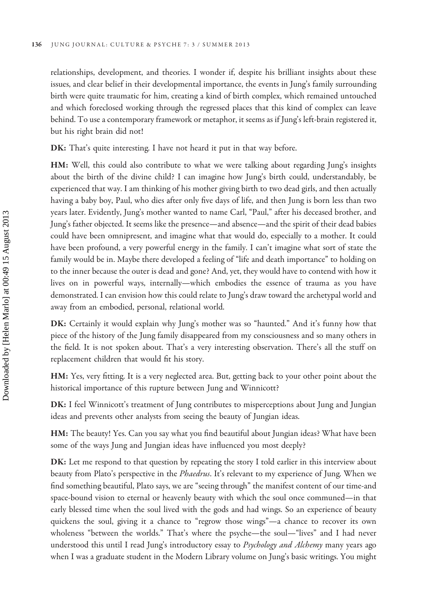relationships, development, and theories. I wonder if, despite his brilliant insights about these issues, and clear belief in their developmental importance, the events in Jung's family surrounding birth were quite traumatic for him, creating a kind of birth complex, which remained untouched and which foreclosed working through the regressed places that this kind of complex can leave behind. To use a contemporary framework or metaphor, it seems as if Jung's left-brain registered it, but his right brain did not!

DK: That's quite interesting. I have not heard it put in that way before.

HM: Well, this could also contribute to what we were talking about regarding Jung's insights about the birth of the divine child? I can imagine how Jung's birth could, understandably, be experienced that way. I am thinking of his mother giving birth to two dead girls, and then actually having a baby boy, Paul, who dies after only five days of life, and then Jung is born less than two years later. Evidently, Jung's mother wanted to name Carl, "Paul," after his deceased brother, and Jung's father objected. It seems like the presence—and absence—and the spirit of their dead babies could have been omnipresent, and imagine what that would do, especially to a mother. It could have been profound, a very powerful energy in the family. I can't imagine what sort of state the family would be in. Maybe there developed a feeling of "life and death importance" to holding on to the inner because the outer is dead and gone? And, yet, they would have to contend with how it lives on in powerful ways, internally—which embodies the essence of trauma as you have demonstrated. I can envision how this could relate to Jung's draw toward the archetypal world and away from an embodied, personal, relational world.

DK: Certainly it would explain why Jung's mother was so "haunted." And it's funny how that piece of the history of the Jung family disappeared from my consciousness and so many others in the field. It is not spoken about. That's a very interesting observation. There's all the stuff on replacement children that would fit his story.

HM: Yes, very fitting. It is a very neglected area. But, getting back to your other point about the historical importance of this rupture between Jung and Winnicott?

DK: I feel Winnicott's treatment of Jung contributes to misperceptions about Jung and Jungian ideas and prevents other analysts from seeing the beauty of Jungian ideas.

HM: The beauty! Yes. Can you say what you find beautiful about Jungian ideas? What have been some of the ways Jung and Jungian ideas have influenced you most deeply?

DK: Let me respond to that question by repeating the story I told earlier in this interview about beauty from Plato's perspective in the Phaedrus. It's relevant to my experience of Jung. When we find something beautiful, Plato says, we are "seeing through" the manifest content of our time-and space-bound vision to eternal or heavenly beauty with which the soul once communed—in that early blessed time when the soul lived with the gods and had wings. So an experience of beauty quickens the soul, giving it a chance to "regrow those wings"—a chance to recover its own wholeness "between the worlds." That's where the psyche—the soul—"lives" and I had never understood this until I read Jung's introductory essay to Psychology and Alchemy many years ago when I was a graduate student in the Modern Library volume on Jung's basic writings. You might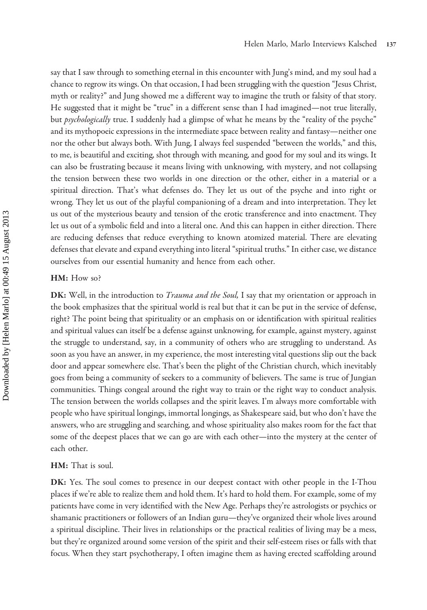say that I saw through to something eternal in this encounter with Jung's mind, and my soul had a chance to regrow its wings. On that occasion, I had been struggling with the question "Jesus Christ, myth or reality?" and Jung showed me a different way to imagine the truth or falsity of that story. He suggested that it might be "true" in a different sense than I had imagined—not true literally, but *psychologically* true. I suddenly had a glimpse of what he means by the "reality of the psyche" and its mythopoeic expressions in the intermediate space between reality and fantasy—neither one nor the other but always both. With Jung, I always feel suspended "between the worlds," and this, to me, is beautiful and exciting, shot through with meaning, and good for my soul and its wings. It can also be frustrating because it means living with unknowing, with mystery, and not collapsing the tension between these two worlds in one direction or the other, either in a material or a spiritual direction. That's what defenses do. They let us out of the psyche and into right or wrong. They let us out of the playful companioning of a dream and into interpretation. They let us out of the mysterious beauty and tension of the erotic transference and into enactment. They let us out of a symbolic field and into a literal one. And this can happen in either direction. There are reducing defenses that reduce everything to known atomized material. There are elevating defenses that elevate and expand everything into literal "spiritual truths." In either case, we distance ourselves from our essential humanity and hence from each other.

## HM: How so?

DK: Well, in the introduction to *Trauma and the Soul*, I say that my orientation or approach in the book emphasizes that the spiritual world is real but that it can be put in the service of defense, right? The point being that spirituality or an emphasis on or identification with spiritual realities and spiritual values can itself be a defense against unknowing, for example, against mystery, against the struggle to understand, say, in a community of others who are struggling to understand. As soon as you have an answer, in my experience, the most interesting vital questions slip out the back door and appear somewhere else. That's been the plight of the Christian church, which inevitably goes from being a community of seekers to a community of believers. The same is true of Jungian communities. Things congeal around the right way to train or the right way to conduct analysis. The tension between the worlds collapses and the spirit leaves. I'm always more comfortable with people who have spiritual longings, immortal longings, as Shakespeare said, but who don't have the answers, who are struggling and searching, and whose spirituality also makes room for the fact that some of the deepest places that we can go are with each other—into the mystery at the center of each other.

### HM: That is soul.

DK: Yes. The soul comes to presence in our deepest contact with other people in the I-Thou places if we're able to realize them and hold them. It's hard to hold them. For example, some of my patients have come in very identified with the New Age. Perhaps they're astrologists or psychics or shamanic practitioners or followers of an Indian guru—they've organized their whole lives around a spiritual discipline. Their lives in relationships or the practical realities of living may be a mess, but they're organized around some version of the spirit and their self-esteem rises or falls with that focus. When they start psychotherapy, I often imagine them as having erected scaffolding around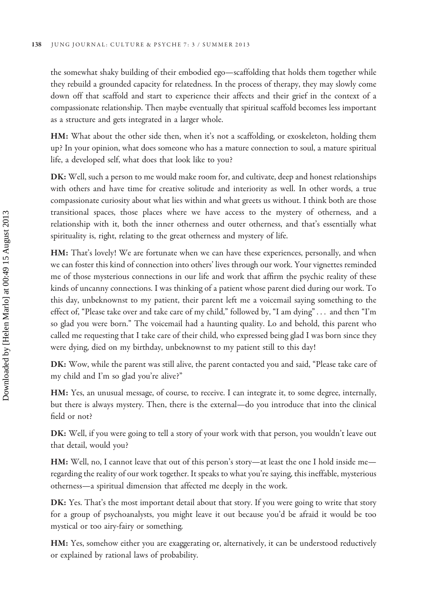the somewhat shaky building of their embodied ego—scaffolding that holds them together while they rebuild a grounded capacity for relatedness. In the process of therapy, they may slowly come down off that scaffold and start to experience their affects and their grief in the context of a compassionate relationship. Then maybe eventually that spiritual scaffold becomes less important as a structure and gets integrated in a larger whole.

HM: What about the other side then, when it's not a scaffolding, or exoskeleton, holding them up? In your opinion, what does someone who has a mature connection to soul, a mature spiritual life, a developed self, what does that look like to you?

DK: Well, such a person to me would make room for, and cultivate, deep and honest relationships with others and have time for creative solitude and interiority as well. In other words, a true compassionate curiosity about what lies within and what greets us without. I think both are those transitional spaces, those places where we have access to the mystery of otherness, and a relationship with it, both the inner otherness and outer otherness, and that's essentially what spirituality is, right, relating to the great otherness and mystery of life.

HM: That's lovely! We are fortunate when we can have these experiences, personally, and when we can foster this kind of connection into others' lives through our work. Your vignettes reminded me of those mysterious connections in our life and work that affirm the psychic reality of these kinds of uncanny connections. I was thinking of a patient whose parent died during our work. To this day, unbeknownst to my patient, their parent left me a voicemail saying something to the effect of, "Please take over and take care of my child," followed by, "I am dying"... and then "I'm so glad you were born." The voicemail had a haunting quality. Lo and behold, this parent who called me requesting that I take care of their child, who expressed being glad I was born since they were dying, died on my birthday, unbeknownst to my patient still to this day!

DK: Wow, while the parent was still alive, the parent contacted you and said, "Please take care of my child and I'm so glad you're alive?"

HM: Yes, an unusual message, of course, to receive. I can integrate it, to some degree, internally, but there is always mystery. Then, there is the external—do you introduce that into the clinical field or not?

DK: Well, if you were going to tell a story of your work with that person, you wouldn't leave out that detail, would you?

HM: Well, no, I cannot leave that out of this person's story—at least the one I hold inside me regarding the reality of our work together. It speaks to what you're saying, this ineffable, mysterious otherness—a spiritual dimension that affected me deeply in the work.

DK: Yes. That's the most important detail about that story. If you were going to write that story for a group of psychoanalysts, you might leave it out because you'd be afraid it would be too mystical or too airy-fairy or something.

HM: Yes, somehow either you are exaggerating or, alternatively, it can be understood reductively or explained by rational laws of probability.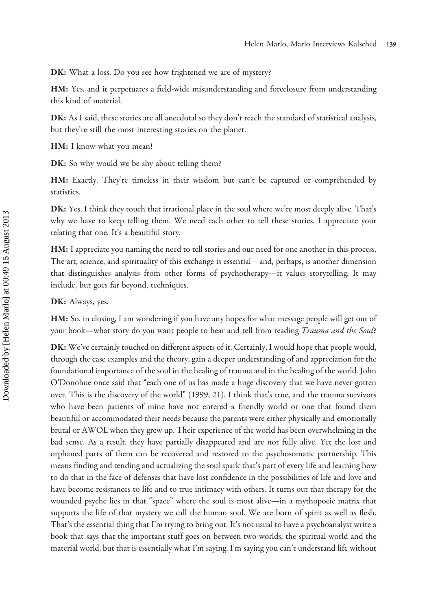DK: What a loss. Do you see how frightened we are of mystery?

HM: Yes, and it perpetuates a field-wide misunderstanding and foreclosure from understanding this kind of material.

DK: As I said, these stories are all anecdotal so they don't reach the standard of statistical analysis, but they're still the most interesting stories on the planet.

HM: I know what you mean!

DK: So why would we be shy about telling them?

HM: Exactly. They're timeless in their wisdom but can't be captured or comprehended by statistics.

DK: Yes, I think they touch that irrational place in the soul where we're most deeply alive. That's why we have to keep telling them. We need each other to tell these stories. I appreciate your relating that one. It's a beautiful story.

HM: I appreciate you naming the need to tell stories and our need for one another in this process. The art, science, and spirituality of this exchange is essential—and, perhaps, is another dimension that distinguishes analysis from other forms of psychotherapy—it values storytelling. It may include, but goes far beyond, techniques.

DK: Always, yes.

HM: So, in closing, I am wondering if you have any hopes for what message people will get out of your book—what story do you want people to hear and tell from reading Trauma and the Soul?

DK: We've certainly touched on different aspects of it. Certainly, I would hope that people would, through the case examples and the theory, gain a deeper understanding of and appreciation for the foundational importance of the soul in the healing of trauma and in the healing of the world. John O'Donohue once said that "each one of us has made a huge discovery that we have never gotten over. This is the discovery of the world" (1999, 21). I think that's true, and the trauma survivors who have been patients of mine have not entered a friendly world or one that found them beautiful or accommodated their needs because the parents were either physically and emotionally brutal or AWOL when they grew up. Their experience of the world has been overwhelming in the bad sense. As a result, they have partially disappeared and are not fully alive. Yet the lost and orphaned parts of them can be recovered and restored to the psychosomatic partnership. This means finding and tending and actualizing the soul spark that's part of every life and learning how to do that in the face of defenses that have lost confidence in the possibilities of life and love and have become resistances to life and to true intimacy with others. It turns out that therapy for the wounded psyche lies in that "space" where the soul is most alive—in a mythopoeic matrix that supports the life of that mystery we call the human soul. We are born of spirit as well as flesh. That's the essential thing that I'm trying to bring out. It's not usual to have a psychoanalyst write a book that says that the important stuff goes on between two worlds, the spiritual world and the material world, but that is essentially what I'm saying. I'm saying you can't understand life without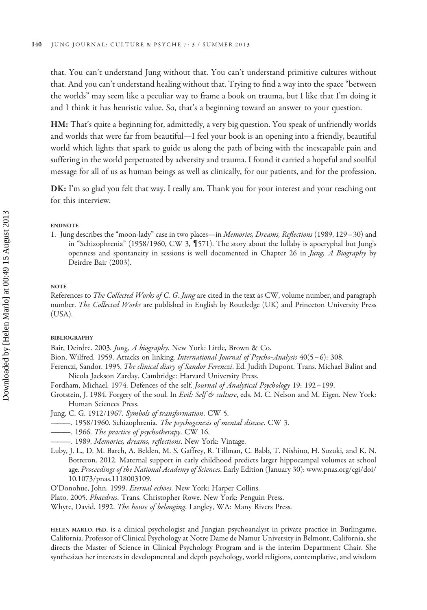that. You can't understand Jung without that. You can't understand primitive cultures without that. And you can't understand healing without that. Trying to find a way into the space "between the worlds" may seem like a peculiar way to frame a book on trauma, but I like that I'm doing it and I think it has heuristic value. So, that's a beginning toward an answer to your question.

HM: That's quite a beginning for, admittedly, a very big question. You speak of unfriendly worlds and worlds that were far from beautiful—I feel your book is an opening into a friendly, beautiful world which lights that spark to guide us along the path of being with the inescapable pain and suffering in the world perpetuated by adversity and trauma. I found it carried a hopeful and soulful message for all of us as human beings as well as clinically, for our patients, and for the profession.

DK: I'm so glad you felt that way. I really am. Thank you for your interest and your reaching out for this interview.

#### **ENDNOTE**

1. Jung describes the "moon-lady" case in two places—in Memories, Dreams, Reflections (1989, 129 – 30) and in "Schizophrenia" (1958/1960, CW 3, ¶571). The story about the lullaby is apocryphal but Jung's openness and spontaneity in sessions is well documented in Chapter 26 in Jung, A Biography by Deirdre Bair (2003).

#### NOTE

References to The Collected Works of C. G. Jung are cited in the text as CW, volume number, and paragraph number. The Collected Works are published in English by Routledge (UK) and Princeton University Press (USA).

#### BIBLIOGRAPHY

Bair, Deirdre. 2003. Jung, A biography. New York: Little, Brown & Co.

Bion, Wilfred. 1959. Attacks on linking. International Journal of Psycho-Analysis 40(5–6): 308.

Ferenczi, Sandor. 1995. The clinical diary of Sandor Ferenczi. Ed. Judith Dupont. Trans. Michael Balint and Nicola Jackson Zarday. Cambridge: Harvard University Press.

Fordham, Michael. 1974. Defences of the self. Journal of Analytical Psychology 19: 192–199.

Grotstein, J. 1984. Forgery of the soul. In Evil: Self & culture, eds. M. C. Nelson and M. Eigen. New York: Human Sciences Press.

Jung, C. G. 1912/1967. Symbols of transformation. CW 5.

- -. 1958/1960. Schizophrenia. *The psychogenesis of mental disease*. CW 3.
- . 1966. The practice of psychotherapy. CW 16.
- $-$ . 1989. Memories, dreams, reflections. New York: Vintage.
- Luby, J. L., D. M. Barch, A. Belden, M. S. Gaffrey, R. Tillman, C. Babb, T. Nishino, H. Suzuki, and K. N. Botteron. 2012. Maternal support in early childhood predicts larger hippocampal volumes at school age. Proceedings of the National Academy of Sciences. Early Edition (January 30): [www.pnas.org/cgi/doi/](http://www.pnas.org/cgi/doi/10.1073/pnas.1118003109) [10.1073/pnas.1118003109.](http://www.pnas.org/cgi/doi/10.1073/pnas.1118003109)
- O'Donohue, John. 1999. Eternal echoes. New York: Harper Collins.

Plato. 2005. Phaedrus. Trans. Christopher Rowe. New York: Penguin Press.

Whyte, David. 1992. The house of belonging. Langley, WA: Many Rivers Press.

HELEN MARLO, PhD, is a clinical psychologist and Jungian psychoanalyst in private practice in Burlingame, California. Professor of Clinical Psychology at Notre Dame de Namur University in Belmont, California, she directs the Master of Science in Clinical Psychology Program and is the interim Department Chair. She synthesizes her interests in developmental and depth psychology, world religions, contemplative, and wisdom